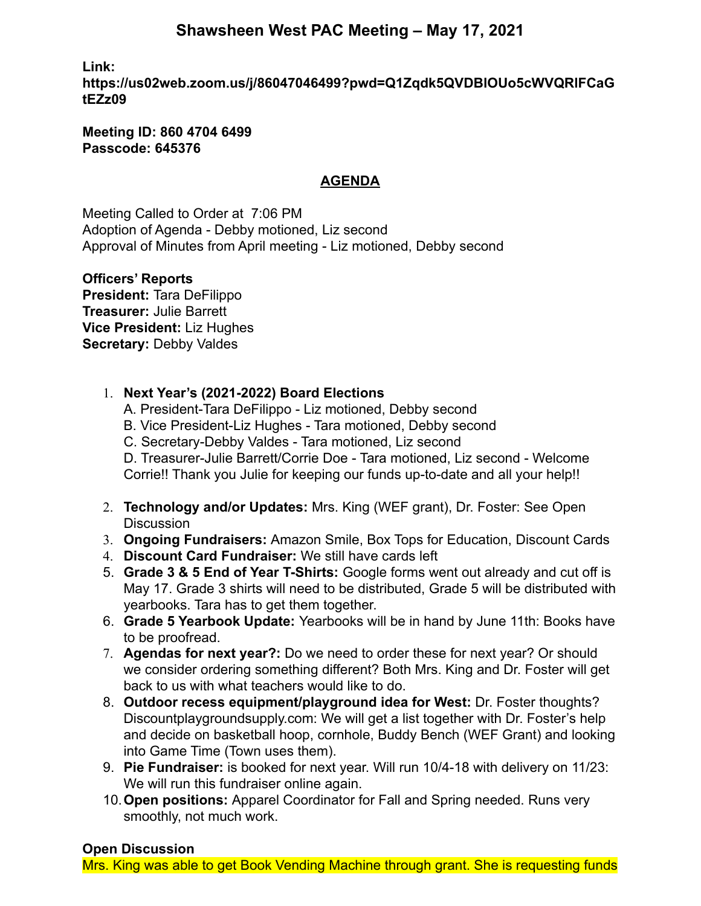## **Shawsheen West PAC Meeting – May 17, 2021**

**Link:**

**https://us02web.zoom.us/j/86047046499?pwd=Q1Zqdk5QVDBlOUo5cWVQRlFCaG tEZz09**

**Meeting ID: 860 4704 6499 Passcode: 645376**

## **AGENDA**

Meeting Called to Order at 7:06 PM Adoption of Agenda - Debby motioned, Liz second Approval of Minutes from April meeting - Liz motioned, Debby second

**Officers' Reports President:** Tara DeFilippo **Treasurer:** Julie Barrett **Vice President:** Liz Hughes **Secretary:** Debby Valdes

## 1. **Next Year's (2021-2022) Board Elections**

- A. President-Tara DeFilippo Liz motioned, Debby second
- B. Vice President-Liz Hughes Tara motioned, Debby second

C. Secretary-Debby Valdes - Tara motioned, Liz second

D. Treasurer-Julie Barrett/Corrie Doe - Tara motioned, Liz second - Welcome Corrie!! Thank you Julie for keeping our funds up-to-date and all your help!!

- 2. **Technology and/or Updates:** Mrs. King (WEF grant), Dr. Foster: See Open **Discussion**
- 3. **Ongoing Fundraisers:** Amazon Smile, Box Tops for Education, Discount Cards
- 4. **Discount Card Fundraiser:** We still have cards left
- 5. **Grade 3 & 5 End of Year T-Shirts:** Google forms went out already and cut off is May 17. Grade 3 shirts will need to be distributed, Grade 5 will be distributed with yearbooks. Tara has to get them together.
- 6. **Grade 5 Yearbook Update:** Yearbooks will be in hand by June 11th: Books have to be proofread.
- 7. **Agendas for next year?:** Do we need to order these for next year? Or should we consider ordering something different? Both Mrs. King and Dr. Foster will get back to us with what teachers would like to do.
- 8. **Outdoor recess equipment/playground idea for West:** Dr. Foster thoughts? Discountplaygroundsupply.com: We will get a list together with Dr. Foster's help and decide on basketball hoop, cornhole, Buddy Bench (WEF Grant) and looking into Game Time (Town uses them).
- 9. **Pie Fundraiser:** is booked for next year. Will run 10/4-18 with delivery on 11/23: We will run this fundraiser online again.
- 10.**Open positions:** Apparel Coordinator for Fall and Spring needed. Runs very smoothly, not much work.

## **Open Discussion**